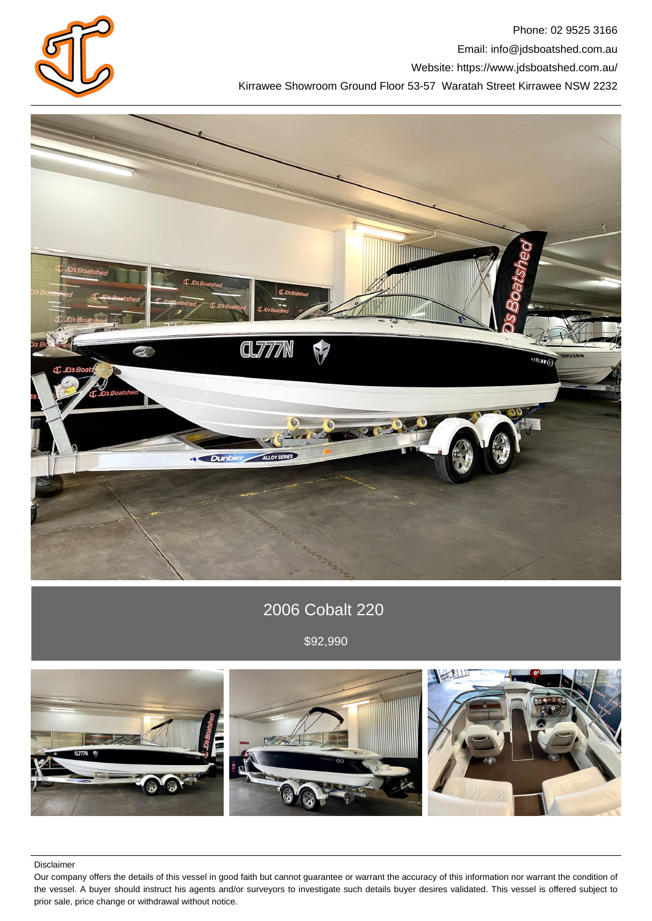

Phone: 02 9525 3166 Email: info@jdsboatshed.com.au Website: https://www.jdsboatshed.com.au/ Kirrawee Showroom Ground Floor 53-57 Waratah Street Kirrawee NSW 2232



# 2006 Cobalt 220

\$92,990



Disclaimer

Our company offers the details of this vessel in good faith but cannot guarantee or warrant the accuracy of this information nor warrant the condition of the vessel. A buyer should instruct his agents and/or surveyors to investigate such details buyer desires validated. This vessel is offered subject to prior sale, price change or withdrawal without notice.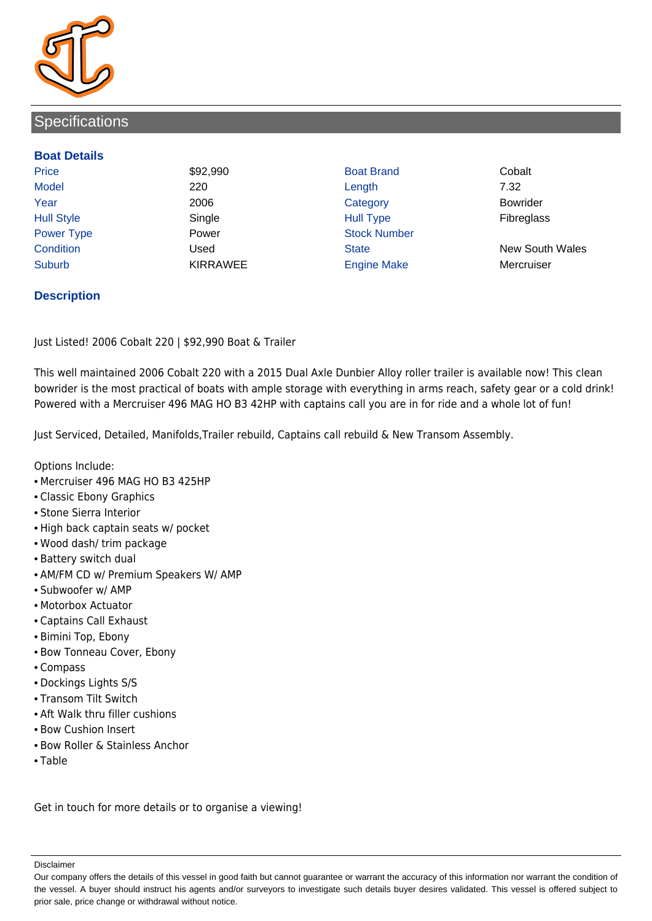

# **Specifications**

#### **Boat Details**

Price **\$92,990 Boat Brand Cobalt** Cobalt Model 220 Length 7.32 Year 2006 Category Bowrider Hull Style Single Hull Type Fibreglass Power Type **Power Power Stock Number** Condition Used State New South Wales Suburb **KIRRAWEE** Engine Make Mercruiser

## **Description**

Just Listed! 2006 Cobalt 220 | \$92,990 Boat & Trailer

This well maintained 2006 Cobalt 220 with a 2015 Dual Axle Dunbier Alloy roller trailer is available now! This clean bowrider is the most practical of boats with ample storage with everything in arms reach, safety gear or a cold drink! Powered with a Mercruiser 496 MAG HO B3 42HP with captains call you are in for ride and a whole lot of fun!

Just Serviced, Detailed, Manifolds,Trailer rebuild, Captains call rebuild & New Transom Assembly.

Options Include:

- Mercruiser 496 MAG HO B3 425HP
- Classic Ebony Graphics
- Stone Sierra Interior
- High back captain seats w/ pocket
- Wood dash/ trim package
- Battery switch dual
- AM/FM CD w/ Premium Speakers W/ AMP
- Subwoofer w/ AMP
- Motorbox Actuator
- Captains Call Exhaust
- Bimini Top, Ebony
- Bow Tonneau Cover, Ebony
- Compass
- Dockings Lights S/S
- Transom Tilt Switch
- Aft Walk thru filler cushions
- Bow Cushion Insert
- Bow Roller & Stainless Anchor
- Table

Get in touch for more details or to organise a viewing!

Disclaimer

Our company offers the details of this vessel in good faith but cannot guarantee or warrant the accuracy of this information nor warrant the condition of the vessel. A buyer should instruct his agents and/or surveyors to investigate such details buyer desires validated. This vessel is offered subject to prior sale, price change or withdrawal without notice.